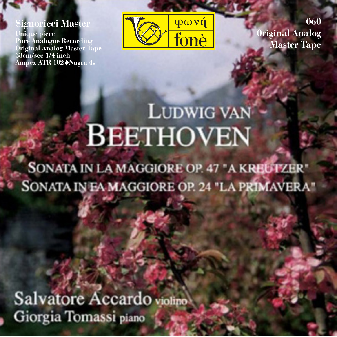#### **Signoricci Master**

**Unique piece Pure Analogue Recording Original Analog Master Tape 38cm/sec 1/4 inch Ampex ATR 102 Nagra 4s**



**060 0riginal Analog Master Tape**

# **LUDWIG VAN BEETHOVEN**

**SONATA IN LA MAGGIORE OP. 47 "A KREUTZER"** SONATA IN EA MAGGIORE OP. 24 "LA PRIMAVERA"

Salvatore Accardo violino Giorgia Tomassi piano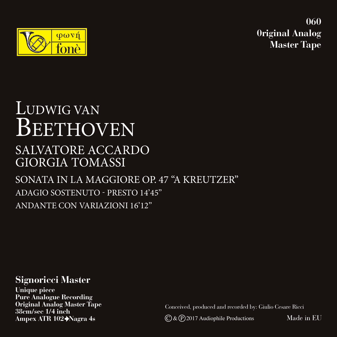

**060 0riginal Analog Master Tape**

### LUDWIG VAN BEETHOVEN SONATA IN LA MAGGIORE OP. 47 "A KREUTZER" SALVATORE ACCARDO GIORGIA TOMASSI

ADAGIO SOSTENUTO - PRESTO 14'45'' ANDANTE CON VARIAZIONI 16'12''

**Signoricci Master**

**Unique piece Pure Analogue Recording Original Analog Master Tape 38cm/sec 1/4 inch Ampex ATR 102 Nagra 4s**

Conceived, produced and recorded by: Giulio Cesare Ricci

 $\mathbb{C}$  &  $\mathbb{P}$  2017 Audiophile Productions

Made in EU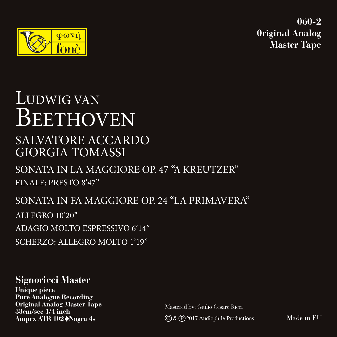



### LUDWIG VAN BEETHOVEN SONATA IN LA MAGGIORE OP. 47 "A KREUTZER" SONATA IN FA MAGGIORE OP. 24 "LA PRIMAVERA" SALVATORE ACCARDO GIORGIA TOMASSI FINALE: PRESTO 8'47''

ALLEGRO 10'20'' ADAGIO MOLTO ESPRESSIVO 6'14'' SCHERZO: ALLEGRO MOLTO 1'19''

#### **Signoricci Master**

**Unique piece Pure Analogue Recording Original Analog Master Tape 38cm/sec 1/4 inch**

Mastered by: Giulio Cesare Ricci

Ampex ATR 102→Nagra 4s C & P 2017 Audiophile Productions

Made in EU